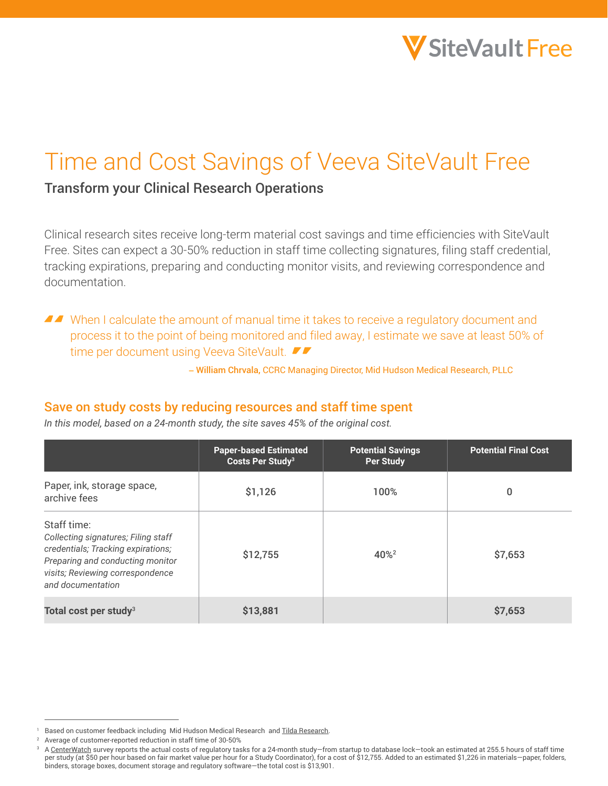

# Time and Cost Savings of Veeva SiteVault Free

# Transform your Clinical Research Operations

Clinical research sites receive long-term material cost savings and time efficiencies with SiteVault Free. Sites can expect a 30-50% reduction in staff time collecting signatures, filing staff credential, tracking expirations, preparing and conducting monitor visits, and reviewing correspondence and documentation.

■■ When I calculate the amount of manual time it takes to receive a regulatory document and process it to the point of being monitored and filed away, I estimate we save at least 50% of time per document using Veeva SiteVault.

– William Chrvala, CCRC Managing Director, Mid Hudson Medical Research, PLLC

#### Save on study costs by reducing resources and staff time spent

*In this model, based on a 24-month study, the site saves 45% of the original cost.* 

|                                                                                                                                                                                       | <b>Paper-based Estimated</b><br>Costs Per Study <sup>3</sup> | <b>Potential Savings</b><br><b>Per Study</b> | <b>Potential Final Cost</b> |
|---------------------------------------------------------------------------------------------------------------------------------------------------------------------------------------|--------------------------------------------------------------|----------------------------------------------|-----------------------------|
| Paper, ink, storage space,<br>archive fees                                                                                                                                            | \$1,126                                                      | 100%                                         | 0                           |
| Staff time:<br>Collecting signatures; Filing staff<br>credentials; Tracking expirations;<br>Preparing and conducting monitor<br>visits; Reviewing correspondence<br>and documentation | \$12,755                                                     | 40% <sup>2</sup>                             | \$7,653                     |
| Total cost per study <sup>3</sup>                                                                                                                                                     | \$13,881                                                     |                                              | \$7,653                     |

<sup>&</sup>lt;sup>1</sup> Based on customer feedback including Mid Hudson Medical Research and [Tilda Research.](https://sites.veeva.com/resources/tilda-research-speeds-study-activation-and-cuts-administrative-work-in-half-with-veeva-sitevault/)

<sup>&</sup>lt;sup>2</sup> Average of customer-reported reduction in staff time of 30-50%

<sup>3</sup> A [CenterWatch](https://www.centerwatch.com/articles/16831) survey reports the actual costs of regulatory tasks for a 24-month study—from startup to database lock—took an estimated at 255.5 hours of staff time per study (at \$50 per hour based on fair market value per hour for a Study Coordinator), for a cost of \$12,755. Added to an estimated \$1,226 in materials—paper, folders, binders, storage boxes, document storage and regulatory software—the total cost is \$13,901.